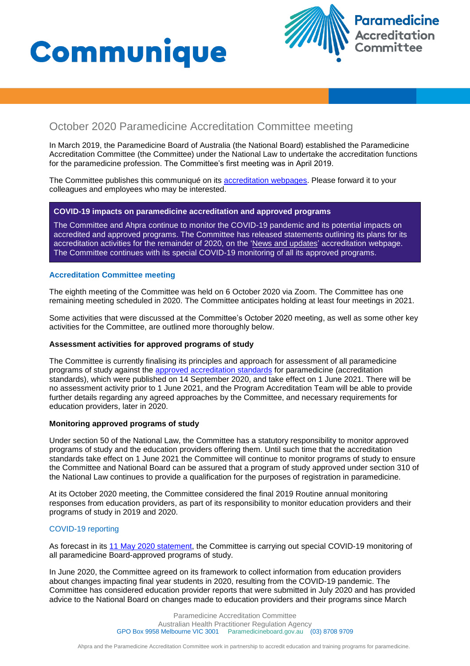# **Communique**



### October 2020 Paramedicine Accreditation Committee meeting

In March 2019, the Paramedicine Board of Australia (the National Board) established the Paramedicine Accreditation Committee (the Committee) under the National Law to undertake the accreditation functions for the paramedicine profession. The Committee's first meeting was in April 2019.

The Committee publishes this communiqué on its [accreditation webpages](https://www.paramedicineboard.gov.au/Accreditation.aspx). Please forward it to your colleagues and employees who may be interested.

#### **COVID-19 impacts on paramedicine accreditation and approved programs**

The Committee and Ahpra continue to monitor the COVID-19 pandemic and its potential impacts on accredited and approved programs. The Committee has released statements outlining its plans for its accreditation activities for the remainder of 2020, on the ['News and updates'](https://www.paramedicineboard.gov.au/Accreditation/Updates.aspx) accreditation webpage. The Committee continues with its special COVID-19 monitoring of all its approved programs.

#### **Accreditation Committee meeting**

The eighth meeting of the Committee was held on 6 October 2020 via Zoom. The Committee has one remaining meeting scheduled in 2020. The Committee anticipates holding at least four meetings in 2021.

Some activities that were discussed at the Committee's October 2020 meeting, as well as some other key activities for the Committee, are outlined more thoroughly below.

#### **Assessment activities for approved programs of study**

The Committee is currently finalising its principles and approach for assessment of all paramedicine programs of study against the [approved accreditation standards](https://www.paramedicineboard.gov.au/Accreditation.aspx) for paramedicine (accreditation standards), which were published on 14 September 2020, and take effect on 1 June 2021. There will be no assessment activity prior to 1 June 2021, and the Program Accreditation Team will be able to provide further details regarding any agreed approaches by the Committee, and necessary requirements for education providers, later in 2020.

#### **Monitoring approved programs of study**

Under section 50 of the National Law, the Committee has a statutory responsibility to monitor approved programs of study and the education providers offering them. Until such time that the accreditation standards take effect on 1 June 2021 the Committee will continue to monitor programs of study to ensure the Committee and National Board can be assured that a program of study approved under section 310 of the National Law continues to provide a qualification for the purposes of registration in paramedicine.

At its October 2020 meeting, the Committee considered the final 2019 Routine annual monitoring responses from education providers, as part of its responsibility to monitor education providers and their programs of study in 2019 and 2020.

#### COVID-19 reporting

As forecast in its [11 May 2020 statement,](https://www.paramedicineboard.gov.au/Accreditation/Updates.aspx) the Committee is carrying out special COVID-19 monitoring of all paramedicine Board-approved programs of study.

In June 2020, the Committee agreed on its framework to collect information from education providers about changes impacting final year students in 2020, resulting from the COVID-19 pandemic. The Committee has considered education provider reports that were submitted in July 2020 and has provided advice to the National Board on changes made to education providers and their programs since March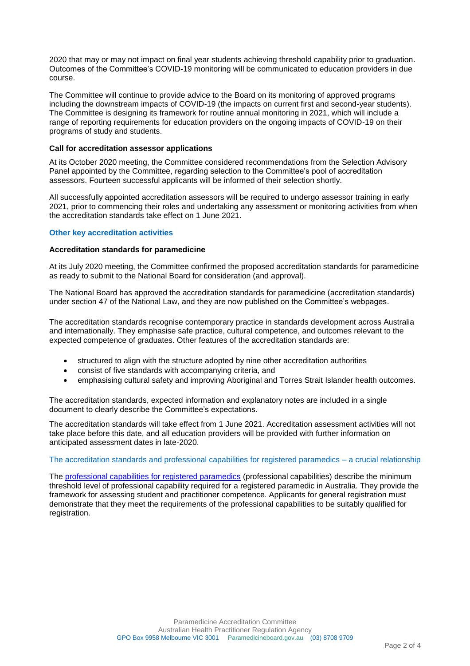2020 that may or may not impact on final year students achieving threshold capability prior to graduation. Outcomes of the Committee's COVID-19 monitoring will be communicated to education providers in due course.

The Committee will continue to provide advice to the Board on its monitoring of approved programs including the downstream impacts of COVID-19 (the impacts on current first and second-year students). The Committee is designing its framework for routine annual monitoring in 2021, which will include a range of reporting requirements for education providers on the ongoing impacts of COVID-19 on their programs of study and students.

#### **Call for accreditation assessor applications**

At its October 2020 meeting, the Committee considered recommendations from the Selection Advisory Panel appointed by the Committee, regarding selection to the Committee's pool of accreditation assessors. Fourteen successful applicants will be informed of their selection shortly.

All successfully appointed accreditation assessors will be required to undergo assessor training in early 2021, prior to commencing their roles and undertaking any assessment or monitoring activities from when the accreditation standards take effect on 1 June 2021.

#### **Other key accreditation activities**

#### **Accreditation standards for paramedicine**

At its July 2020 meeting, the Committee confirmed the proposed accreditation standards for paramedicine as ready to submit to the National Board for consideration (and approval).

The National Board has approved the accreditation standards for paramedicine (accreditation standards) under section 47 of the National Law, and they are now published on the Committee's webpages.

The accreditation standards recognise contemporary practice in standards development across Australia and internationally. They emphasise safe practice, cultural competence, and outcomes relevant to the expected competence of graduates. Other features of the accreditation standards are:

- structured to align with the structure adopted by nine other accreditation authorities
- consist of five standards with accompanying criteria, and
- emphasising cultural safety and improving Aboriginal and Torres Strait Islander health outcomes.

The accreditation standards, expected information and explanatory notes are included in a single document to clearly describe the Committee's expectations.

The accreditation standards will take effect from 1 June 2021. Accreditation assessment activities will not take place before this date, and all education providers will be provided with further information on anticipated assessment dates in late-2020.

#### The accreditation standards and professional capabilities for registered paramedics – a crucial relationship

The [professional capabilities for registered paramedics](https://www.paramedicineboard.gov.au/Professional-standards/Professional-capabilities-for-registered-paramedics.aspx) (professional capabilities) describe the minimum threshold level of professional capability required for a registered paramedic in Australia. They provide the framework for assessing student and practitioner competence. Applicants for general registration must demonstrate that they meet the requirements of the professional capabilities to be suitably qualified for registration.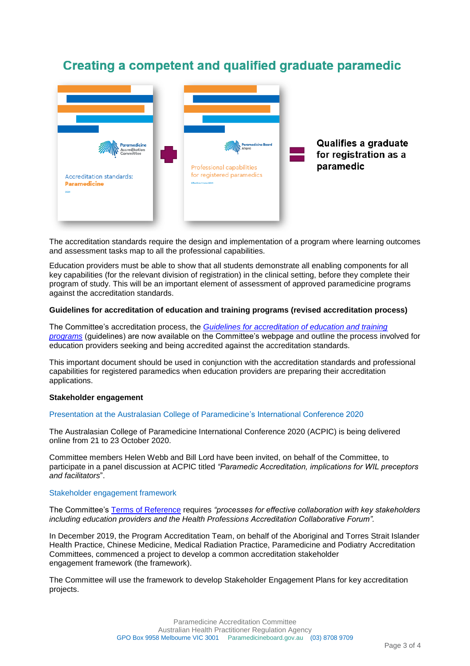## Creating a competent and qualified graduate paramedic



The accreditation standards require the design and implementation of a program where learning outcomes and assessment tasks map to all the professional capabilities.

Education providers must be able to show that all students demonstrate all enabling components for all key capabilities (for the relevant division of registration) in the clinical setting, before they complete their program of study. This will be an important element of assessment of approved paramedicine programs against the accreditation standards.

#### **Guidelines for accreditation of education and training programs (revised accreditation process)**

The Committee's accreditation process, the *[Guidelines for accreditation of education and training](https://www.paramedicineboard.gov.au/Accreditation/Application-information.aspx)  [programs](https://www.paramedicineboard.gov.au/Accreditation/Application-information.aspx)* (guidelines) are now available on the Committee's webpage and outline the process involved for education providers seeking and being accredited against the accreditation standards.

This important document should be used in conjunction with the accreditation standards and professional capabilities for registered paramedics when education providers are preparing their accreditation applications.

#### **Stakeholder engagement**

#### Presentation at the Australasian College of Paramedicine's International Conference 2020

The Australasian College of Paramedicine International Conference 2020 (ACPIC) is being delivered online from 21 to 23 October 2020.

Committee members Helen Webb and Bill Lord have been invited, on behalf of the Committee, to participate in a panel discussion at ACPIC titled *"Paramedic Accreditation, implications for WIL preceptors and facilitators*".

#### Stakeholder engagement framework

The Committee's [Terms of Reference](https://www.paramedicineboard.gov.au/Accreditation/Accreditation-Committee.aspx) requires *"processes for effective collaboration with key stakeholders including education providers and the Health Professions Accreditation Collaborative Forum".*

In December 2019, the Program Accreditation Team, on behalf of the Aboriginal and Torres Strait Islander Health Practice, Chinese Medicine, Medical Radiation Practice, Paramedicine and Podiatry Accreditation Committees, commenced a project to develop a common accreditation stakeholder engagement framework (the framework).

The Committee will use the framework to develop Stakeholder Engagement Plans for key accreditation projects.